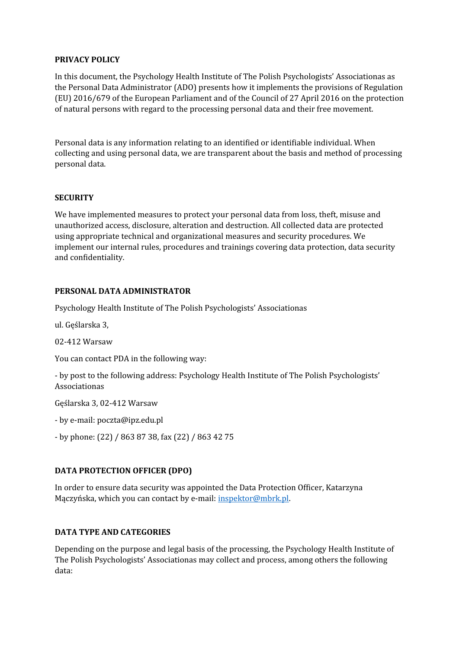## **PRIVACY POLICY**

In this document, the Psychology Health Institute of The Polish Psychologists' Associationas as the Personal Data Administrator (ADO) presents how it implements the provisions of Regulation (EU) 2016/679 of the European Parliament and of the Council of 27 April 2016 on the protection of natural persons with regard to the processing personal data and their free movement.

Personal data is any information relating to an identified or identifiable individual. When collecting and using personal data, we are transparent about the basis and method of processing personal data.

#### **SECURITY**

We have implemented measures to protect your personal data from loss, theft, misuse and unauthorized access, disclosure, alteration and destruction. All collected data are protected using appropriate technical and organizational measures and security procedures. We implement our internal rules, procedures and trainings covering data protection, data security and confidentiality.

#### **PERSONAL DATA ADMINISTRATOR**

Psychology Health Institute of The Polish Psychologists' Associationas

ul. Geślarska 3,

02-412 Warsaw

You can contact PDA in the following way:

- by post to the following address: Psychology Health Institute of The Polish Psychologists' Associationas

Gęślarska 3, 02-412 Warsaw

- by e-mail: poczta@ipz.edu.pl

- by phone: (22) / 863 87 38, fax (22) / 863 42 75

## **DATA PROTECTION OFFICER (DPO)**

In order to ensure data security was appointed the Data Protection Officer, Katarzyna Mączyńska, which you can contact by e-mail: [inspektor@mbrk.pl.](mailto:inspektor@mbrk.pl)

## **DATA TYPE AND CATEGORIES**

Depending on the purpose and legal basis of the processing, the Psychology Health Institute of The Polish Psychologists' Associationas may collect and process, among others the following data: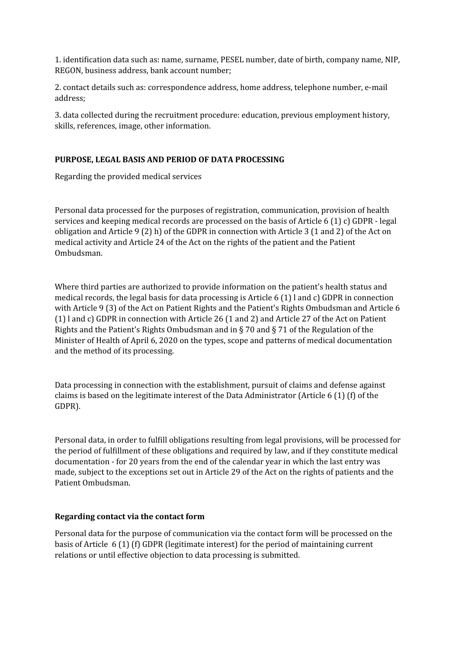1. identification data such as: name, surname, PESEL number, date of birth, company name, NIP, REGON, business address, bank account number;

2. contact details such as: correspondence address, home address, telephone number, e-mail address;

3. data collected during the recruitment procedure: education, previous employment history, skills, references, image, other information.

## **PURPOSE, LEGAL BASIS AND PERIOD OF DATA PROCESSING**

Regarding the provided medical services

Personal data processed for the purposes of registration, communication, provision of health services and keeping medical records are processed on the basis of Article 6 (1) c) GDPR - legal obligation and Article 9 (2) h) of the GDPR in connection with Article 3 (1 and 2) of the Act on medical activity and Article 24 of the Act on the rights of the patient and the Patient Ombudsman.

Where third parties are authorized to provide information on the patient's health status and medical records, the legal basis for data processing is Article 6 (1) l and c) GDPR in connection with Article 9 (3) of the Act on Patient Rights and the Patient's Rights Ombudsman and Article 6 (1) l and c) GDPR in connection with Article 26 (1 and 2) and Article 27 of the Act on Patient Rights and the Patient's Rights Ombudsman and in  $\S$  70 and  $\S$  71 of the Regulation of the Minister of Health of April 6, 2020 on the types, scope and patterns of medical documentation and the method of its processing.

Data processing in connection with the establishment, pursuit of claims and defense against claims is based on the legitimate interest of the Data Administrator (Article 6 (1) (f) of the GDPR).

Personal data, in order to fulfill obligations resulting from legal provisions, will be processed for the period of fulfillment of these obligations and required by law, and if they constitute medical documentation - for 20 years from the end of the calendar year in which the last entry was made, subject to the exceptions set out in Article 29 of the Act on the rights of patients and the Patient Ombudsman.

## **Regarding contact via the contact form**

Personal data for the purpose of communication via the contact form will be processed on the basis of Article 6 (1) (f) GDPR (legitimate interest) for the period of maintaining current relations or until effective objection to data processing is submitted.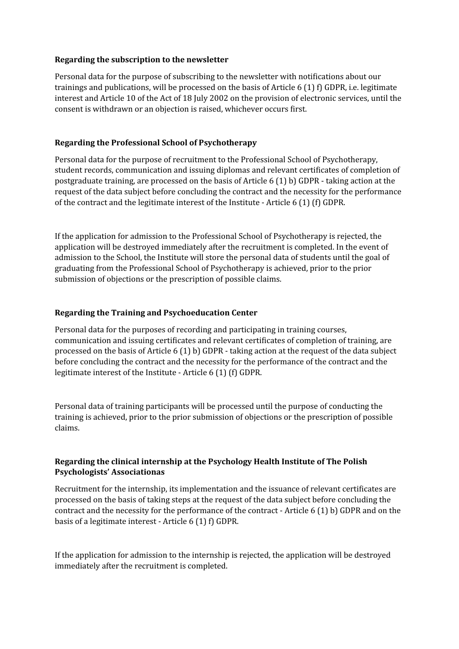### **Regarding the subscription to the newsletter**

Personal data for the purpose of subscribing to the newsletter with notifications about our trainings and publications, will be processed on the basis of Article 6 (1) f) GDPR, i.e. legitimate interest and Article 10 of the Act of 18 July 2002 on the provision of electronic services, until the consent is withdrawn or an objection is raised, whichever occurs first.

### **Regarding the Professional School of Psychotherapy**

Personal data for the purpose of recruitment to the Professional School of Psychotherapy, student records, communication and issuing diplomas and relevant certificates of completion of postgraduate training, are processed on the basis of Article 6 (1) b) GDPR - taking action at the request of the data subject before concluding the contract and the necessity for the performance of the contract and the legitimate interest of the Institute - Article 6 (1) (f) GDPR.

If the application for admission to the Professional School of Psychotherapy is rejected, the application will be destroyed immediately after the recruitment is completed. In the event of admission to the School, the Institute will store the personal data of students until the goal of graduating from the Professional School of Psychotherapy is achieved, prior to the prior submission of objections or the prescription of possible claims.

#### **Regarding the Training and Psychoeducation Center**

Personal data for the purposes of recording and participating in training courses, communication and issuing certificates and relevant certificates of completion of training, are processed on the basis of Article 6 (1) b) GDPR - taking action at the request of the data subject before concluding the contract and the necessity for the performance of the contract and the legitimate interest of the Institute - Article 6 (1) (f) GDPR.

Personal data of training participants will be processed until the purpose of conducting the training is achieved, prior to the prior submission of objections or the prescription of possible claims.

## **Regarding the clinical internship at the Psychology Health Institute of The Polish Psychologists' Associationas**

Recruitment for the internship, its implementation and the issuance of relevant certificates are processed on the basis of taking steps at the request of the data subject before concluding the contract and the necessity for the performance of the contract - Article 6 (1) b) GDPR and on the basis of a legitimate interest - Article 6 (1) f) GDPR.

If the application for admission to the internship is rejected, the application will be destroyed immediately after the recruitment is completed.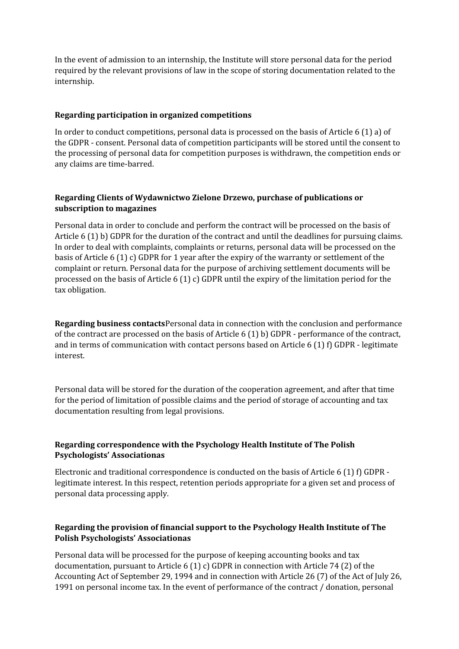In the event of admission to an internship, the Institute will store personal data for the period required by the relevant provisions of law in the scope of storing documentation related to the internship.

## **Regarding participation in organized competitions**

In order to conduct competitions, personal data is processed on the basis of Article 6 (1) a) of the GDPR - consent. Personal data of competition participants will be stored until the consent to the processing of personal data for competition purposes is withdrawn, the competition ends or any claims are time-barred.

# **Regarding Clients of Wydawnictwo Zielone Drzewo, purchase of publications or subscription to magazines**

Personal data in order to conclude and perform the contract will be processed on the basis of Article 6 (1) b) GDPR for the duration of the contract and until the deadlines for pursuing claims. In order to deal with complaints, complaints or returns, personal data will be processed on the basis of Article 6 (1) c) GDPR for 1 year after the expiry of the warranty or settlement of the complaint or return. Personal data for the purpose of archiving settlement documents will be processed on the basis of Article 6 (1) c) GDPR until the expiry of the limitation period for the tax obligation.

**Regarding business contacts**Personal data in connection with the conclusion and performance of the contract are processed on the basis of Article 6 (1) b) GDPR - performance of the contract, and in terms of communication with contact persons based on Article 6 (1) f) GDPR - legitimate interest.

Personal data will be stored for the duration of the cooperation agreement, and after that time for the period of limitation of possible claims and the period of storage of accounting and tax documentation resulting from legal provisions.

# **Regarding correspondence with the Psychology Health Institute of The Polish Psychologists' Associationas**

Electronic and traditional correspondence is conducted on the basis of Article 6 (1) f) GDPR legitimate interest. In this respect, retention periods appropriate for a given set and process of personal data processing apply.

# **Regarding the provision of financial support to the Psychology Health Institute of The Polish Psychologists' Associationas**

Personal data will be processed for the purpose of keeping accounting books and tax documentation, pursuant to Article 6 (1) c) GDPR in connection with Article 74 (2) of the Accounting Act of September 29, 1994 and in connection with Article 26 (7) of the Act of July 26, 1991 on personal income tax. In the event of performance of the contract / donation, personal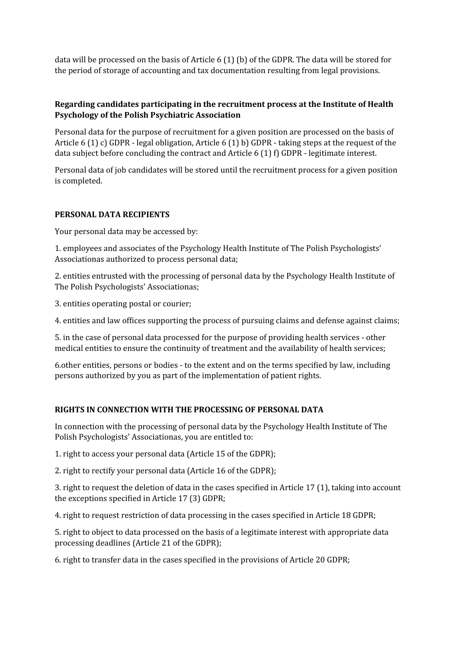data will be processed on the basis of Article 6 (1) (b) of the GDPR. The data will be stored for the period of storage of accounting and tax documentation resulting from legal provisions.

# **Regarding candidates participating in the recruitment process at the Institute of Health Psychology of the Polish Psychiatric Association**

Personal data for the purpose of recruitment for a given position are processed on the basis of Article 6 (1) c) GDPR - legal obligation, Article 6 (1) b) GDPR - taking steps at the request of the data subject before concluding the contract and Article 6 (1) f) GDPR - legitimate interest.

Personal data of job candidates will be stored until the recruitment process for a given position is completed.

## **PERSONAL DATA RECIPIENTS**

Your personal data may be accessed by:

1. employees and associates of the Psychology Health Institute of The Polish Psychologists' Associationas authorized to process personal data;

2. entities entrusted with the processing of personal data by the Psychology Health Institute of The Polish Psychologists' Associationas;

3. entities operating postal or courier;

4. entities and law offices supporting the process of pursuing claims and defense against claims;

5. in the case of personal data processed for the purpose of providing health services - other medical entities to ensure the continuity of treatment and the availability of health services;

6.other entities, persons or bodies - to the extent and on the terms specified by law, including persons authorized by you as part of the implementation of patient rights.

## **RIGHTS IN CONNECTION WITH THE PROCESSING OF PERSONAL DATA**

In connection with the processing of personal data by the Psychology Health Institute of The Polish Psychologists' Associationas, you are entitled to:

1. right to access your personal data (Article 15 of the GDPR);

2. right to rectify your personal data (Article 16 of the GDPR);

3. right to request the deletion of data in the cases specified in Article 17 (1), taking into account the exceptions specified in Article 17 (3) GDPR;

4. right to request restriction of data processing in the cases specified in Article 18 GDPR;

5. right to object to data processed on the basis of a legitimate interest with appropriate data processing deadlines (Article 21 of the GDPR);

6. right to transfer data in the cases specified in the provisions of Article 20 GDPR;